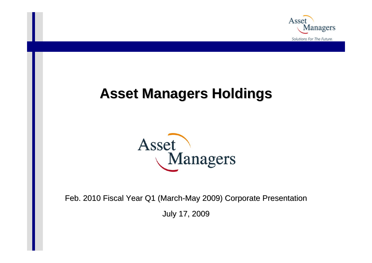

# **Asset Managers Holdings Asset Managers Holdings**



Feb. 2010 Fiscal Year Q1 (March-May 2009) Corporate Presentation

July 17, 2009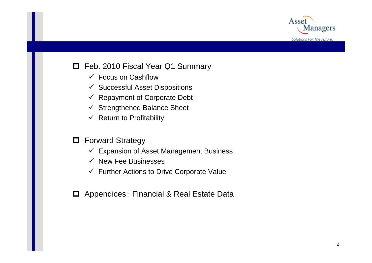

### □ Feb. 2010 Fiscal Year Q1 Summary

- $\checkmark$  Focus on Cashflow
- $\checkmark$  Successful Asset Dispositions
- $\checkmark$  Repayment of Corporate Debt
- $\checkmark$ Strengthened Balance Sheet
- $\checkmark$  Return to Profitability
- **D** Forward Strategy
	- $\checkmark$  Expansion of Asset Management Business
	- $\checkmark$  New Fee Businesses
	- $\checkmark$  Further Actions to Drive Corporate Value
- **□** Appendices: Financial & Real Estate Data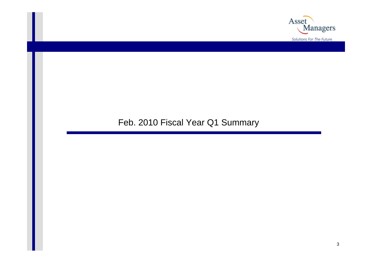

### Feb. 2010 Fiscal Year Q1 Summary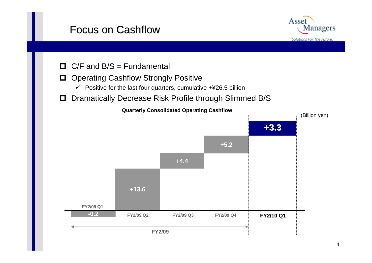## **Focus on Cashflow**



- $\Box$  C/F and B/S = Fundamental
- $\Box$  Operating Cashflow Strongly Positive
	- $\checkmark$  Positive for the last four quarters, cumulative +¥26.5 billion
- O Dramatically Decrease Risk Profile through Slimmed B/S

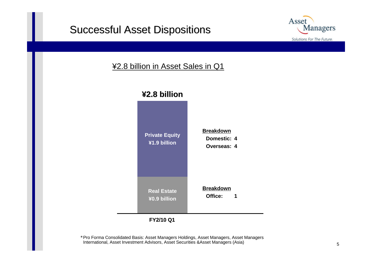### **Successful Asset Dispositions**



#### ¥2.8 billion in Asset Sales in Q1



\*Pro Forma Consolidated Basis: Asset Managers Holdings, Asset Managers, Asset Managers International, Asset Investment Advisors, Asset Securities &Asset Managers (Asia)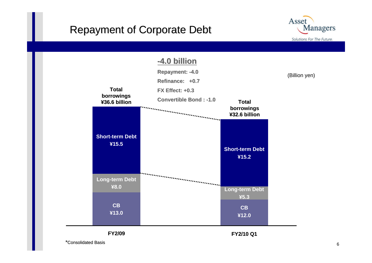### **Repayment of Corporate Debt**





**FY2/09**

**FY2/10 Q1**

\*Consolidated Basis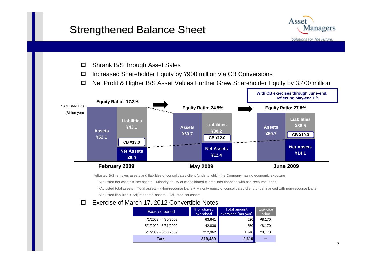### Strengthened Balance Sheet



- $\Box$ Shrank B/S through Asset Sales
- $\Box$ Increased Shareholder Equity by ¥900 million via CB Conversions
- $\Box$ Net Profit & Higher B/S Asset Values Further Grew Shareholder Equity by 3,400 million



Adjusted B/S removes assets and liabilities of consolidated client funds to which the Company has no economic exposure

- ・Adjusted net assets = Net assets Minority equity of consolidated client funds financed with non-recourse loans
- ・Adjusted total assets = Total assets (Non-recourse loans + Minority equity of consolidated client funds financed with non-recourse loans)
- ・Adjusted liabilities = Adjusted total assets Adjusted net assets

#### $\Box$ Exercise of March 17, 2012 Convertible Notes

| Exercise period      | # of shares<br>exercised | Total amount<br>exercised (mn yen) | Exercise<br>price |
|----------------------|--------------------------|------------------------------------|-------------------|
| 4/1/2009 - 4/30/2009 | 63,641                   | 520                                | ¥8,170            |
| 5/1/2009 - 5/31/2009 | 42,836                   | <b>350</b>                         | ¥8,170            |
| 6/1/2009 - 6/30/2009 | 212,962                  | 1,740                              | ¥8,170            |
| Total                | 319,439                  | 2,610                              |                   |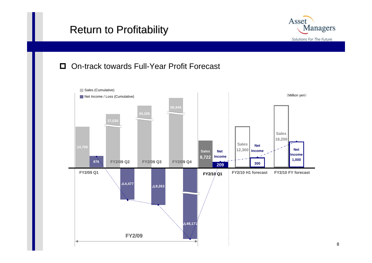## **Return to Profitability**



#### $\Box$ On-track towards Full-Year Profit Forecast

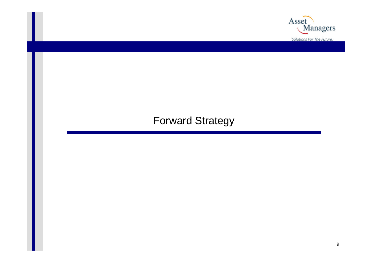

## Forward Strategy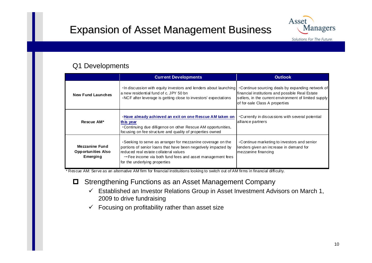

#### Q1 Developments

|                                                         | <b>Current Developments</b>                                                                                                                                                                                                                                                       | <b>Outlook</b>                                                                                                                             |
|---------------------------------------------------------|-----------------------------------------------------------------------------------------------------------------------------------------------------------------------------------------------------------------------------------------------------------------------------------|--------------------------------------------------------------------------------------------------------------------------------------------|
| <b>New Fund Launches</b>                                | In discussion with equity investors and lenders about launching   Continue sourcing deals by expanding network of<br>a new residential fund of c. JPY 50 bn<br>.NCF after leverage is getting close to investors' expectations                                                    | financial institutions and possible Real Estate<br>sellers, in the current environment of limited supply<br>of for-sale Class A properties |
| Rescue AM*                                              | -Have already achieved an exit on one Rescue AM taken on<br>this year<br>. Continuing due dilligence on other Rescue AM opportunities,<br>focusing on fee structure and quality of properties owned                                                                               | •Currently in discussions with several potential<br>alliance partners                                                                      |
| Mezzanine Fund<br><b>Opportunities Also</b><br>Emerging | . Seeking to serve as arranger for mezzanine coverage on the<br>portions of senior loans that have been negatively impacted by<br>reduced real estate collateral values<br>$\rightarrow$ Fee income via both fund fees and asset management fees<br>for the underlying properties | •Continue marketing to investors and senior<br>lenders given an increase in demand for<br>mezzanine financing                              |

\* Rescue AM: Serve as an alternative AM firm for financial instituitions looking to switch out of AM firms in financial difficulty.

#### $\Box$ Strengthening Functions as an Asset Management Company

- $\checkmark$  Established an Investor Relations Group in Asset Investment Advisors on March 1, 2009 to drive fundraising
- $\checkmark$ Focusing on profitability rather than asset size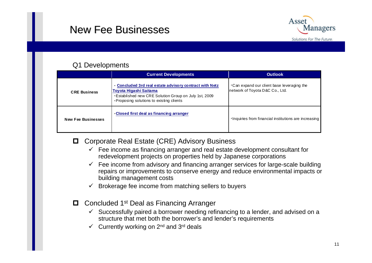### New Fee Businesses



#### Q1 Developments

|                           | <b>Current Developments</b>                                                                                                                                                               | <b>Outlook</b>                                                                       |
|---------------------------|-------------------------------------------------------------------------------------------------------------------------------------------------------------------------------------------|--------------------------------------------------------------------------------------|
| <b>CRE Business</b>       | Concluded 3rd real estate advisory contract with Netz<br>Toyota Higashi Saitama<br><b>Established new CRE Solution Group on July 1st, 2009</b><br>Proposing solutions to existing clients | $\cdot$ Can expand our client base leveraging the<br>network of Toyota D&C Co., Ltd. |
| <b>New Fee Businesses</b> | Closed first deal as financing arranger                                                                                                                                                   | ·Inquiries from financial institutions are increasing                                |

- **□** Corporate Real Estate (CRE) Advisory Business
	- $\checkmark$  Fee income as financing arranger and real estate development consultant for redevelopment projects on properties held by Japanese corporations
	- $\checkmark$  Fee income from advisory and financing arranger services for large-scale building repairs or improvements to conserve energy and reduce environmental impacts or building management costs
	- $\checkmark$  Brokerage fee income from matching sellers to buyers
- □ Concluded 1<sup>st</sup> Deal as Financing Arranger
	- $\checkmark$  Successfully paired a borrower needing refinancing to a lender, and advised on a structure that met both the borrower's and lender's requirements
	- $\checkmark$ Currently working on 2nd and 3rd deals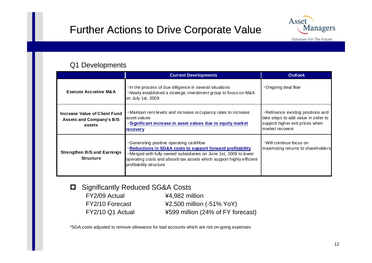## Further Actions to Drive Corporate Value



#### Q1 Developments

|                                                                            | <b>Current Developments</b>                                                                                                                                                                                                                                                              | <b>Outlook</b>                                                                                                                  |
|----------------------------------------------------------------------------|------------------------------------------------------------------------------------------------------------------------------------------------------------------------------------------------------------------------------------------------------------------------------------------|---------------------------------------------------------------------------------------------------------------------------------|
| <b>Execute Accretive M&amp;A</b>                                           | In the process of due dilligence in several situations<br>. Newly established a strategic investment group to focus on M&A<br>on July 1st, 2009                                                                                                                                          | Ongoing deal flow                                                                                                               |
| Increase Value of Client Fund<br><b>Assets and Company's B/S</b><br>assets | • Maintain rent levels and increase occupancy rates to increase<br>asset values<br>Significant increase in asset values due to equity market<br><u>recovery</u>                                                                                                                          | - Refinance existing positions and<br>take steps to add value in order to<br>support higher exit prices when<br>market recovers |
| <b>Strengthen B/S and Earnings</b><br><b>Structure</b>                     | . Generating positive operating cashflow<br><b>Reductions in SG&amp;A costs to support forward profitability</b><br>. Merged with fully-owned subsidiaries on June 1st, 2009 to lower<br>operating costs and absorb tax assets which support highly efficient<br>profitability structure | • Will continue focus on<br>maximizing returns to shareholders                                                                  |

 $\Box$ Significantly Reduced SG&A Costs

FY2/09 Actual ¥4,982 million

FY2/10 Forecast ¥2,500 million (-51% YoY) FY2/10 Q1 Actual ¥599 million (24% of FY forecast)

\*SGA costs adjusted to remove allowance for bad accounts which are not on-going expenses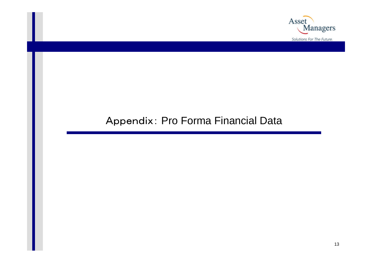

### Appendix: Pro Forma Financial Data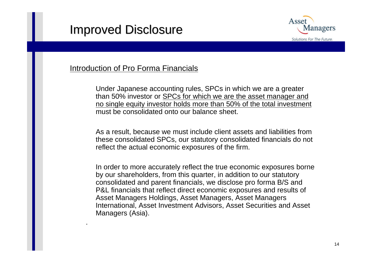# **Improved Disclosure**



#### Introduction of Pro Forma Financials

Under Japanese accounting rules, SPCs in which we are a greater than 50% investor or SPCs for which we are the asset manager and no single equity investor holds more than 50% of the total investment must be consolidated onto our balance sheet.

As a result, because we must include client assets and liabilities from these consolidated SPCs, our statutory consolidated financials do not reflect the actual economic exposures of the firm.

In order to more accurately reflect the true economic exposures borne by our shareholders, from this quarter, in addition to our statutory consolidated and parent financials, we disclose pro forma B/S and P&L financials that reflect direct economic exposures and results of Asset Managers Holdings, Asset Managers, Asset Managers International, Asset Investment Advisors, Asset Securities and Asset Managers (Asia).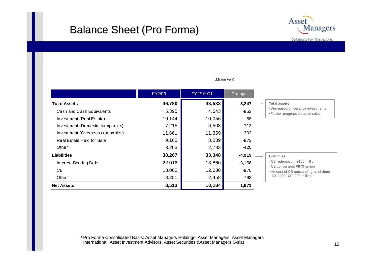### **Balance Sheet (Pro Forma)**



|                                 | FY2/09 | FY2/10 Q1 | Change   |                      |
|---------------------------------|--------|-----------|----------|----------------------|
| <b>Total Assets</b>             | 46,780 | 43,533    | $-3,247$ | Tota                 |
| Cash and Cash Equivalents       | 5,395  | 4,543     | $-852$   | $\cdot$ Dec<br>• Fur |
| Investment (Real Estate)        | 10,144 | 10,056    | -88      |                      |
| Investment (Domestic companies) | 7,215  | 6,503     | -712     |                      |
| Investment (Overseas companies) | 11,661 | 11,359    | $-302$   |                      |
| Real Estate Held for Sale       | 9,162  | 8,289     | -873     |                      |
| Other                           | 3,203  | 2,783     | $-420$   |                      |
| <b>Liabilities</b>              | 38,267 | 33,348    | $-4,919$ | Liab                 |
| Interest-Bearing Debt           | 22,016 | 18,860    | $-3,156$ | $-CB$                |
| CВ                              | 13,000 | 12,030    | -970     | $-CB$<br>• Am        |
| Other                           | 3,251  | 2,458     | -793     | 30                   |
| <b>Net Assets</b>               | 8,513  | 10,184    | 1,671    |                      |

#### (Million yen)

#### **Total assets**

creased on-balance investments ther progress on asset sales

|  | Liabilities |  |
|--|-------------|--|
|--|-------------|--|

- redemption: ¥100 million
- ・CB conversion: ¥870 million
- ount of CB outstanding as of June
	- 30, 2009: ¥10,290 million

\*Pro Forma Consolidated Basis: Asset Managers Holdings, Asset Managers, Asset Managers International, Asset Investment Advisors, Asset Securities &Asset Managers (Asia)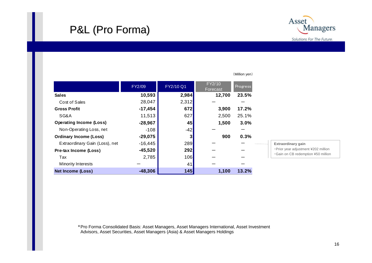## P&L (Pro Forma)



|                                | FY2/09    | FY2/10 Q1 | FY2/10<br><b>Progress</b><br>Forecast |       |
|--------------------------------|-----------|-----------|---------------------------------------|-------|
| <b>Sales</b>                   | 10,593    | 2,984     | 12,700                                | 23.5% |
| Cost of Sales                  | 28,047    | 2,312     |                                       |       |
| <b>Gross Profit</b>            | $-17,454$ | 672       | 3,900                                 | 17.2% |
| SG&A                           | 11,513    | 627       | 2,500                                 | 25.1% |
| <b>Operating Income (Loss)</b> | $-28,967$ | 45        | 1,500                                 | 3.0%  |
| Non-Operating Loss, net        | $-108$    | $-42$     |                                       |       |
| <b>Ordinary Income (Loss)</b>  | $-29,075$ | 3         | 900                                   | 0.3%  |
| Extraordinary Gain (Loss), net | $-16,445$ | 289       |                                       |       |
| Pre-tax Income (Loss)          | $-45,520$ | 292       |                                       |       |
| Tax                            | 2,785     | 106       |                                       |       |
| Minority Interests             |           | 41        |                                       |       |
| <b>Net Income (Loss)</b>       | $-48,306$ | 145       | 1,100                                 | 13.2% |

#### (Million yen)

#### **Extraordinary gain** ・Prior year adjustment ¥202 million

・Gain on CB redemption ¥50 million

\*Pro Forma Consolidated Basis: Asset Managers, Asset Managers International, Asset Investment Advisors, Asset Securities, Asset Managers (Asia) & Asset Managers Holdings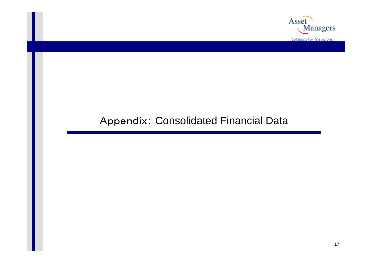

## Appendix: Consolidated Financial Data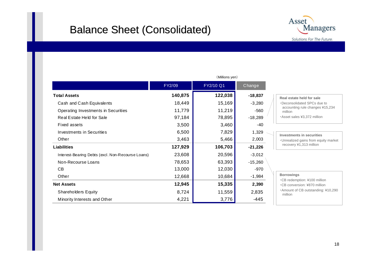### Balance Sheet (Consolidated)



|                                                   | (Millions yen) |           |           |                |  |
|---------------------------------------------------|----------------|-----------|-----------|----------------|--|
|                                                   | FY2/09         | FY2/10 Q1 | Change    |                |  |
| <b>Total Assets</b>                               | 140,875        | 122,038   | $-18,837$ | Real           |  |
| Cash and Cash Equivalents                         | 18,449         | 15,169    | $-3,280$  | $\cdot$ Dec    |  |
| Operating Investments in Securities               | 11,779         | 11,219    | $-560$    | aco<br>mil     |  |
| Real Estate Held for Sale                         | 97,184         | 78,895    | $-18,289$ | • Ass          |  |
| Fixed assets                                      | 3,500          | 3,460     | -40       |                |  |
| Investments in Securities                         | 6,500          | 7,829     | 1,329     | Inve           |  |
| Other                                             | 3,463          | 5,466     | 2,003     | $-Un$          |  |
| <b>Liabilities</b>                                | 127,929        | 106,703   | $-21,226$ | rec            |  |
| Interest-Bearing Debts (excl. Non-Recourse Loans) | 23,608         | 20,596    | $-3,012$  |                |  |
| Non-Recourse Loans                                | 78,653         | 63,393    | $-15,260$ |                |  |
| <b>CB</b>                                         | 13,000         | 12,030    | $-970$    |                |  |
| Other                                             | 12,668         | 10,684    | $-1,984$  | <b>Borr</b>    |  |
| <b>Net Assets</b>                                 | 12,945         | 15,335    | 2,390     | $-CB$<br>$-CB$ |  |
| Shareholders Equity                               | 8,724          | 11,559    | 2,835     | • Am<br>mil    |  |
| Minority Interests and Other                      | 4,221          | 3,776     | $-445$    |                |  |

#### **estate held for sale**

- consolidated SPCs due to counting rule changes ¥15,234 llion
- set sales ¥3,372 million

#### **Investments in securities**

realized gains from equity market covery ¥1,313 million

#### **Borrowings**

redemption: ¥100 million

- ・CB conversion: ¥870 million
- nount of CB outstanding: ¥10,290 million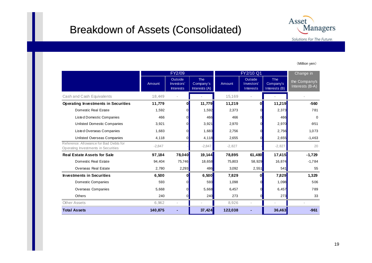### Breakdown of Assets (Consolidated)



#### (Million yen)

|                                                                               | FY2/09   |                                           |                                          | FY2/10 Q1 |                                    |                                          | Change in                        |
|-------------------------------------------------------------------------------|----------|-------------------------------------------|------------------------------------------|-----------|------------------------------------|------------------------------------------|----------------------------------|
|                                                                               | Amount   | Outside<br>Investors'<br><b>Interests</b> | <b>The</b><br>Company's<br>Interests (A) | Amount    | Outside<br>Investors'<br>Interests | <b>The</b><br>Company's<br>Interests (B) | the Company's<br>Interests (B-A) |
| Cash and Cash Equivalents                                                     | 18,449   |                                           |                                          | 15,169    |                                    |                                          |                                  |
| <b>Operating Investments in Securities</b>                                    | 11,779   | Ol                                        | 11,779                                   | 11,219    | $\mathbf{0}$                       | 11,219                                   | $-560$                           |
| Domestic Real Estate                                                          | 1,592    |                                           | 1,592                                    | 2,373     |                                    | 2,373                                    | 781                              |
| <b>Listed Domestic Companies</b>                                              | 466      | Ωl                                        | 466                                      | 466       |                                    | 466                                      | $\Omega$                         |
| <b>Unlisted Domestic Companies</b>                                            | 3,921    |                                           | 3,921                                    | 2,970     |                                    | 2,970                                    | $-951$                           |
| Listed Overseas Companies                                                     | 1,683    |                                           | 1,683                                    | 2,756     |                                    | 2,756                                    | 1,073                            |
| Unlisted Overseas Companies                                                   | 4,118    |                                           | 4,118                                    | 2,655     |                                    | 2,655                                    | $-1,463$                         |
| Reference: Allowance for Bad Debts for<br>Operating Investments in Securities | $-2,847$ |                                           | $-2,847$                                 | $-2,827$  |                                    | $-2,827$                                 | 20                               |
| <b>Real Estate Assets for Sale</b>                                            | 97,184   | 78,040                                    | 19,144                                   | 78,895    | 61,480                             | 17,415                                   | $-1,729$                         |
| Domestic Real Estate                                                          | 94,404   | 75,746                                    | 18,658                                   | 75,803    | 58,929                             | 16,874                                   | $-1,784$                         |
| <b>Overseas Real Estate</b>                                                   | 2,780    | 2,293                                     | 486                                      | 3,092     | 2,551                              | 541                                      | 55                               |
| <b>Investments in Securities</b>                                              | 6.500    | O                                         | 6,500                                    | 7,829     | $\mathbf{0}$                       | 7,829                                    | 1,329                            |
| Domestic Companies                                                            | 593      |                                           | 593                                      | 1,098     |                                    | 1,098                                    | 506                              |
| Overseas Companies                                                            | 5,668    | <sup>0</sup>                              | 5,668                                    | 6,457     |                                    | 6,457                                    | 789                              |
| Others                                                                        | 240      |                                           | 240                                      | 273       |                                    | 273                                      | 33                               |
| ther Assets                                                                   | 6,962    |                                           |                                          | 8,926     |                                    |                                          |                                  |
| <b>Total Assets</b>                                                           | 140,875  |                                           | 37,424                                   | 122,038   |                                    | 36,463                                   | $-961$                           |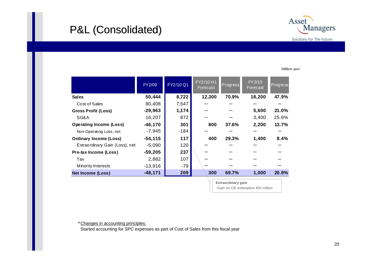## P&L (Consolidated) P&L (Consolidated)



(Million yen)

|                                | FY2/09     | FY2/10 Q1 | FY2/10 H1<br>Forecast | Progress           | FY2/10<br>Forecast | Progress |
|--------------------------------|------------|-----------|-----------------------|--------------------|--------------------|----------|
| <b>Sales</b>                   | 50,444     | 8,722     | 12,300                | 70.9%              | 18,200             | 47.9%    |
| Cost of Sales                  | 80,408     | 7,547     |                       |                    |                    |          |
| <b>Gross Profit (Loss)</b>     | $-29,963$  | 1,174     |                       |                    | 5,600              | 21.0%    |
| SG&A                           | 16,207     | 872       |                       |                    | 3,400              | 25.6%    |
| <b>Operating Income (Loss)</b> | $-46,170$  | 301       | 800                   | 37.6%              | 2,200              | 13.7%    |
| Non-Operating Loss, net        | $-7,945$   | $-184$    |                       |                    |                    |          |
| <b>Ordinary Income (Loss)</b>  | $-54, 115$ | 117       | 400                   | 29.3%              | 1,400              | 8.4%     |
| Extraordinary Gain (Loss), net | $-5,090$   | 120       |                       |                    |                    |          |
| Pre-tax Income (Loss)          | $-59,205$  | 237       |                       |                    |                    |          |
| Tax                            | 2,882      | 107       |                       |                    |                    |          |
| Minority Interests             | $-13,916$  | $-79$     |                       |                    |                    |          |
| <b>Net Income (Loss)</b>       | $-48,171$  | 209       | 300                   | 69.7%              | 1,000              | 20.9%    |
|                                |            |           |                       | Extraordinary gain |                    |          |

**Extraordinary gain** ・Gain on CB redemption ¥50 million

\*Changes in accounting principles:

Started accounting for SPC expenses as part of Cost of Sales from this fiscal year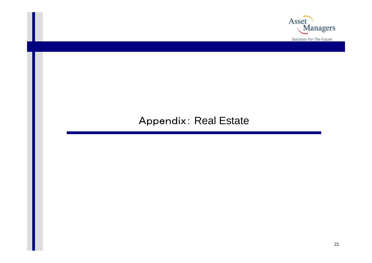

### Appendix: Real Estate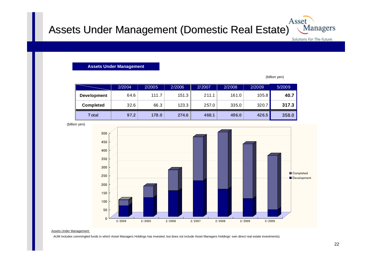#### Assets Under Management (Domestic Real Estate) **Managers**

Solutions For The Future.

Asset

**Assets Under Management**

(billion yen)

|                    | 2/2004 | 2/2005 | 2/2006 | 2/2007 | 2/2008 | 2/2009 | 5/2009 |
|--------------------|--------|--------|--------|--------|--------|--------|--------|
| <b>Development</b> | 64.6   | 111.7  | 151.3  | 211.1  | 161.0  | 105.8  | 40.7   |
| <b>Completed</b>   | 32.6   | 66.3   | 123.3  | 257.0  | 335.0  | 320.7  | 317.3  |
| <b>T</b> otal      | 97.2   | 178.0  | 274.6  | 468.1  | 496.0  | 426.5  | 358.0  |



(billion yen)

Assets Under Management:

AUM includes commingled funds in which Asset Managers Holdings has invested, but does not include Asset Managers Holdings' own direct real estate investments).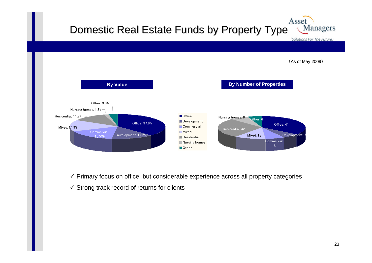#### Asset Domestic Real Estate Funds by Property Type Managers

Solutions For The Future.

(As of May 2009)



 $\checkmark$  Primary focus on office, but considerable experience across all property categories

 $\checkmark$  Strong track record of returns for clients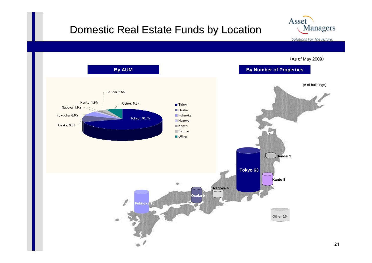### Domestic Real Estate Funds by Location